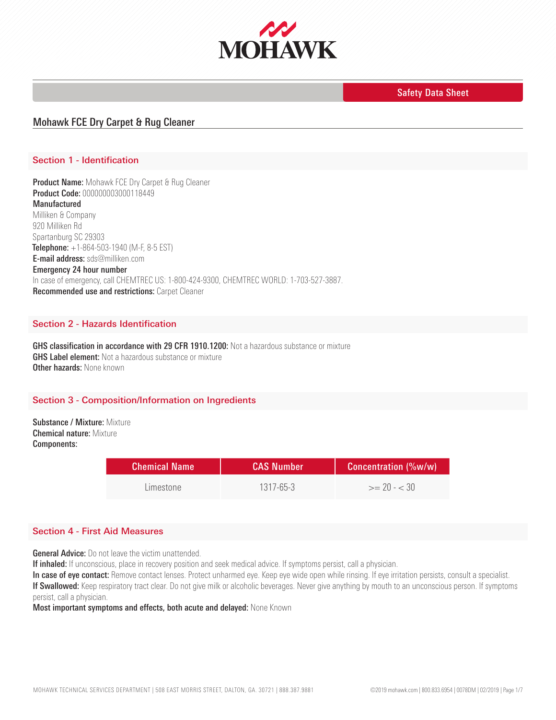

# Mohawk FCE Dry Carpet & Rug Cleaner

## Section 1 - Identification

Product Name: Mohawk FCE Dry Carpet & Rug Cleaner Product Code: 000000003000118449 Manufactured Milliken & Company 920 Milliken Rd Spartanburg SC 29303 Telephone: +1-864-503-1940 (M-F, 8-5 EST) E-mail address: sds@milliken.com Emergency 24 hour number In case of emergency, call CHEMTREC US: 1-800-424-9300, CHEMTREC WORLD: 1-703-527-3887. Recommended use and restrictions: Carpet Cleaner

### Section 2 - Hazards Identification

GHS classification in accordance with 29 CFR 1910.1200: Not a hazardous substance or mixture **GHS Label element:** Not a hazardous substance or mixture Other hazards: None known

### Section 3 - Composition/Information on Ingredients

Substance / Mixture: Mixture Chemical nature: Mixture Components:

| <b>Chemical Name</b> | <b>CAS Number</b> | <b>Concentration (%w/w)</b> |
|----------------------|-------------------|-----------------------------|
| l imestone.          | $1317 - 65 - 3$   | $>= 70 - 30$                |

### Section 4 - First Aid Measures

**General Advice:** Do not leave the victim unattended.

If inhaled: If unconscious, place in recovery position and seek medical advice. If symptoms persist, call a physician.

In case of eye contact: Remove contact lenses. Protect unharmed eye. Keep eye wide open while rinsing. If eye irritation persists, consult a specialist. If Swallowed: Keep respiratory tract clear. Do not give milk or alcoholic beverages. Never give anything by mouth to an unconscious person. If symptoms persist, call a physician.

Most important symptoms and effects, both acute and delayed: None Known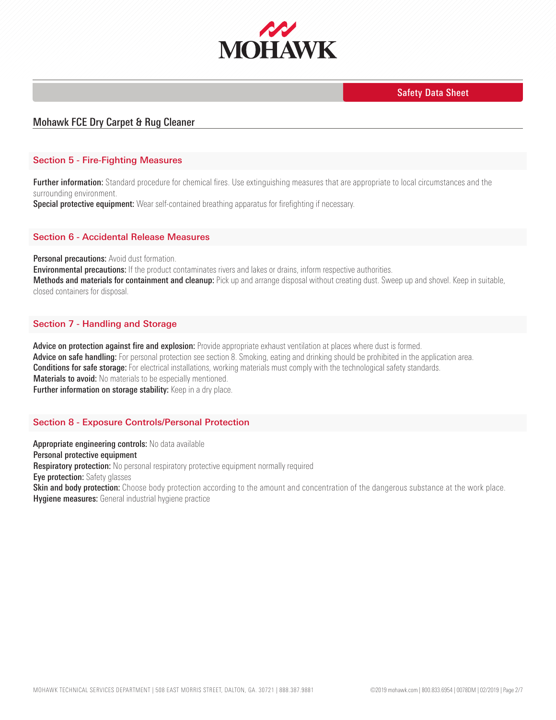

# Mohawk FCE Dry Carpet & Rug Cleaner

### Section 5 - Fire-Fighting Measures

Further information: Standard procedure for chemical fires. Use extinguishing measures that are appropriate to local circumstances and the surrounding environment.

Special protective equipment: Wear self-contained breathing apparatus for firefighting if necessary.

### Section 6 - Accidental Release Measures

**Personal precautions:** Avoid dust formation.

**Environmental precautions:** If the product contaminates rivers and lakes or drains, inform respective authorities. Methods and materials for containment and cleanup: Pick up and arrange disposal without creating dust. Sweep up and shovel. Keep in suitable, closed containers for disposal.

### Section 7 - Handling and Storage

Advice on protection against fire and explosion: Provide appropriate exhaust ventilation at places where dust is formed. Advice on safe handling: For personal protection see section 8. Smoking, eating and drinking should be prohibited in the application area. **Conditions for safe storage:** For electrical installations, working materials must comply with the technological safety standards. **Materials to avoid:** No materials to be especially mentioned. Further information on storage stability: Keep in a dry place.

### Section 8 - Exposure Controls/Personal Protection

Appropriate engineering controls: No data available Personal protective equipment **Respiratory protection:** No personal respiratory protective equipment normally required **Eye protection:** Safety glasses Skin and body protection: Choose body protection according to the amount and concentration of the dangerous substance at the work place. **Hygiene measures:** General industrial hygiene practice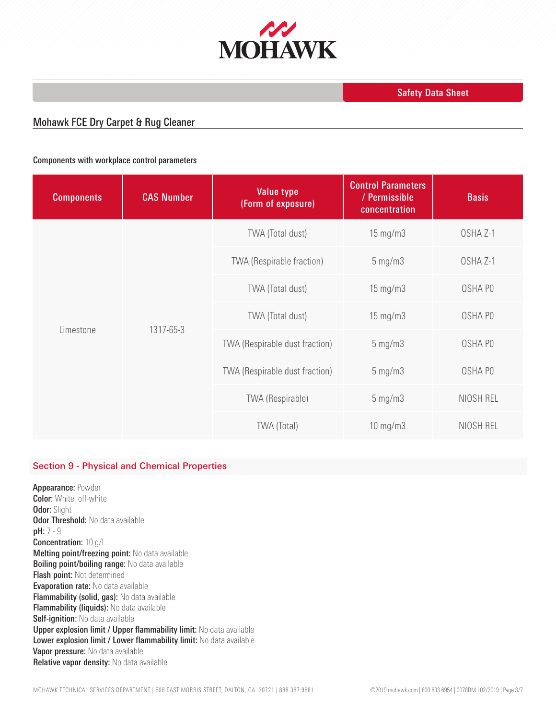

# Mohawk FCE Dry Carpet & Rug Cleaner

### Components with workplace control parameters

| <b>Components</b>      | <b>CAS Number</b> | <b>Value type</b><br>(Form of exposure) | <b>Control Parameters</b><br>/ Permissible<br>concentration | <b>Basis</b> |
|------------------------|-------------------|-----------------------------------------|-------------------------------------------------------------|--------------|
| 1317-65-3<br>Limestone |                   | TWA (Total dust)                        | $15 \text{ mg/m}$                                           | OSHA Z-1     |
|                        |                   | <b>TWA (Respirable fraction)</b>        | $5$ mg/m $3$                                                | OSHA Z-1     |
|                        |                   | TWA (Total dust)                        | $15 \text{ mg/m}$                                           | OSHA PO      |
|                        |                   | TWA (Total dust)                        | 15 mg/m3                                                    | OSHA PO      |
|                        |                   | TWA (Respirable dust fraction)          | $5$ mg/m $3$                                                | OSHA PO      |
|                        |                   | TWA (Respirable dust fraction)          | $5$ mg/m $3$                                                | OSHA PO      |
|                        |                   | TWA (Respirable)                        | $5$ mg/m $3$                                                | NIOSH REL    |
|                        |                   | <b>TWA (Total)</b>                      | $10$ mg/m $3$                                               | NIOSH REL    |

### Section 9 - Physical and Chemical Properties

Appearance: Powder Color: White, off-white **Odor: Slight Odor Threshold: No data available** pH: 7 - 9. Concentration: 10 g/l Melting point/freezing point: No data available **Boiling point/boiling range:** No data available **Flash point: Not determined Evaporation rate:** No data available Flammability (solid, gas): No data available Flammability (liquids): No data available Self-ignition: No data available Upper explosion limit / Upper flammability limit: No data available Lower explosion limit / Lower flammability limit: No data available Vapor pressure: No data available Relative vapor density: No data available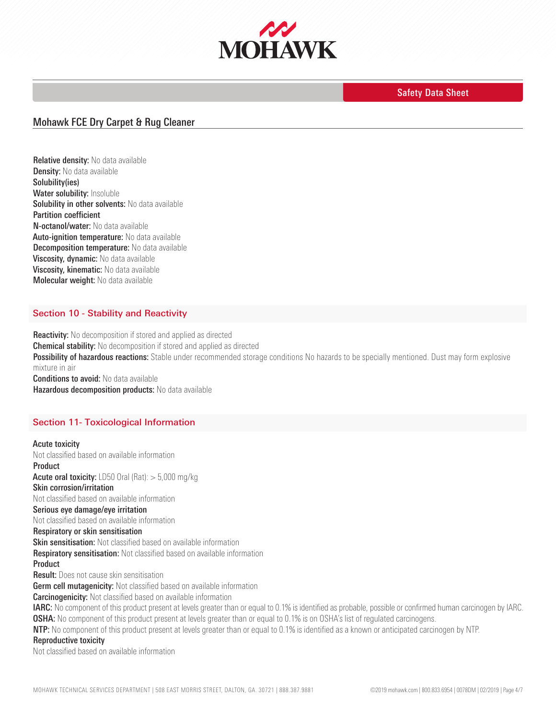

# Mohawk FCE Dry Carpet & Rug Cleaner

Relative density: No data available Density: No data available Solubility(ies) Water solubility: Insoluble Solubility in other solvents: No data available Partition coefficient N-octanol/water: No data available Auto-ignition temperature: No data available **Decomposition temperature:** No data available Viscosity, dynamic: No data available Viscosity, kinematic: No data available Molecular weight: No data available

### Section 10 - Stability and Reactivity

Reactivity: No decomposition if stored and applied as directed Chemical stability: No decomposition if stored and applied as directed Possibility of hazardous reactions: Stable under recommended storage conditions No hazards to be specially mentioned. Dust may form explosive mixture in air **Conditions to avoid:** No data available Hazardous decomposition products: No data available

### Section 11- Toxicological Information

Acute toxicity Not classified based on available information Product **Acute oral toxicity:** LD50 Oral (Rat):  $> 5,000$  mg/kg Skin corrosion/irritation Not classified based on available information Serious eye damage/eye irritation Not classified based on available information Respiratory or skin sensitisation **Skin sensitisation:** Not classified based on available information **Respiratory sensitisation:** Not classified based on available information Product **Result:** Does not cause skin sensitisation Germ cell mutagenicity: Not classified based on available information **Carcinogenicity:** Not classified based on available information IARC: No component of this product present at levels greater than or equal to 0.1% is identified as probable, possible or confirmed human carcinogen by IARC. **OSHA:** No component of this product present at levels greater than or equal to 0.1% is on OSHA's list of regulated carcinogens. NTP: No component of this product present at levels greater than or equal to 0.1% is identified as a known or anticipated carcinogen by NTP. Reproductive toxicity Not classified based on available information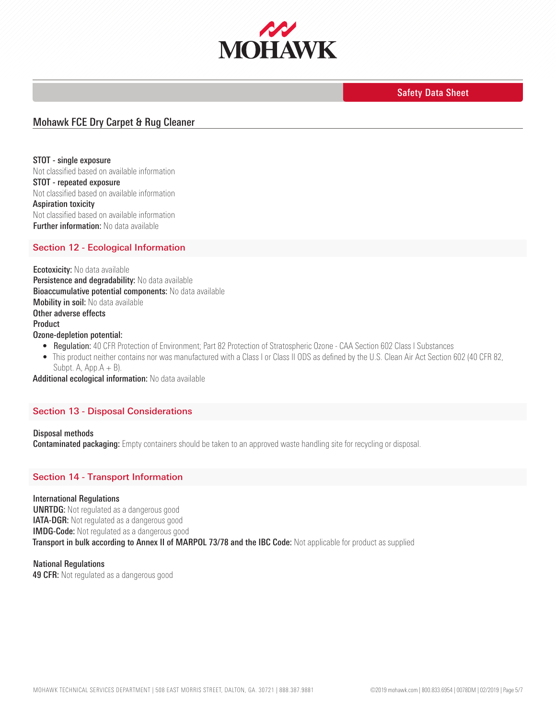

## Mohawk FCE Dry Carpet & Rug Cleaner

STOT - single exposure Not classified based on available information STOT - repeated exposure Not classified based on available information Aspiration toxicity Not classified based on available information **Further information:** No data available

## Section 12 - Ecological Information

**Ecotoxicity:** No data available Persistence and degradability: No data available **Bioaccumulative potential components:** No data available Mobility in soil: No data available Other adverse effects Product Ozone-depletion potential:

- Regulation: 40 CFR Protection of Environment; Part 82 Protection of Stratospheric Ozone CAA Section 602 Class I Substances
- This product neither contains nor was manufactured with a Class I or Class II ODS as defined by the U.S. Clean Air Act Section 602 (40 CFR 82, Subpt. A,  $App.A + B$ ).

Additional ecological information: No data available

#### Section 13 - Disposal Considerations

Disposal methods **Contaminated packaging:** Empty containers should be taken to an approved waste handling site for recycling or disposal.

### Section 14 - Transport Information

#### International Regulations

UNRTDG: Not regulated as a dangerous good **IATA-DGR:** Not regulated as a dangerous good IMDG-Code: Not regulated as a dangerous good Transport in bulk according to Annex II of MARPOL 73/78 and the IBC Code: Not applicable for product as supplied

National Regulations **49 CFR:** Not regulated as a dangerous good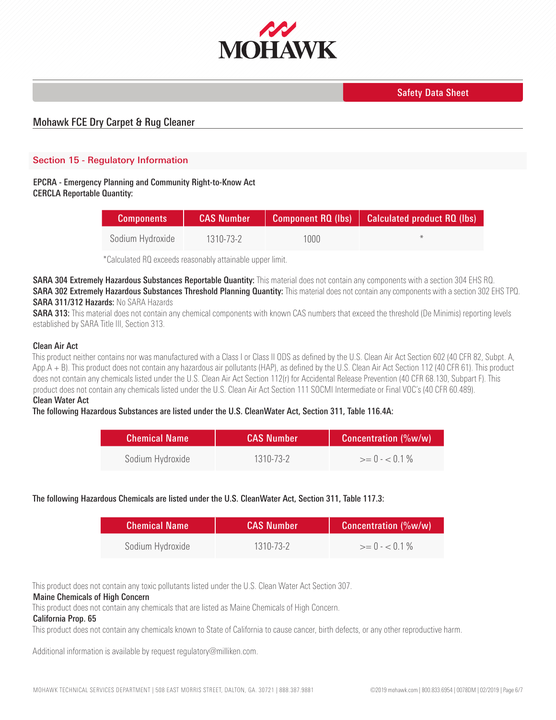

# Mohawk FCE Dry Carpet & Rug Cleaner

## Section 15 - Regulatory Information

### EPCRA - Emergency Planning and Community Right-to-Know Act CERCLA Reportable Quantity:

| <b>Components</b> | <b>CAS Number</b> |      | $\Box$ Component RQ (lbs) $\Box$ Calculated product RQ (lbs) |
|-------------------|-------------------|------|--------------------------------------------------------------|
| Sodium Hydroxide  | 1310-73-2         | 1000 | $-16$                                                        |

\*Calculated RQ exceeds reasonably attainable upper limit.

SARA 304 Extremely Hazardous Substances Reportable Quantity: This material does not contain any components with a section 304 EHS RQ. SARA 302 Extremely Hazardous Substances Threshold Planning Quantity: This material does not contain any components with a section 302 EHS TPQ. SARA 311/312 Hazards: No SARA Hazards

SARA 313: This material does not contain any chemical components with known CAS numbers that exceed the threshold (De Minimis) reporting levels established by SARA Title III, Section 313.

### Clean Air Act

This product neither contains nor was manufactured with a Class I or Class II ODS as defined by the U.S. Clean Air Act Section 602 (40 CFR 82, Subpt. A, App.A + B). This product does not contain any hazardous air pollutants (HAP), as defined by the U.S. Clean Air Act Section 112 (40 CFR 61). This product does not contain any chemicals listed under the U.S. Clean Air Act Section 112(r) for Accidental Release Prevention (40 CFR 68.130, Subpart F). This product does not contain any chemicals listed under the U.S. Clean Air Act Section 111 SOCMI Intermediate or Final VOC's (40 CFR 60.489).

### Clean Water Act

#### The following Hazardous Substances are listed under the U.S. CleanWater Act, Section 311, Table 116.4A:

| <b>Chemical Name</b> | <b>CAS Number</b> | <b>Concentration (%w/w)</b> |
|----------------------|-------------------|-----------------------------|
| Sodium Hydroxide     | 1310-73-2         | $>= 0 - 0.1\%$              |

### The following Hazardous Chemicals are listed under the U.S. CleanWater Act, Section 311, Table 117.3:

| <b>Chemical Name</b> | <b>CAS Number</b> | <b>Concentration (%w/w)</b> |
|----------------------|-------------------|-----------------------------|
| Sodium Hydroxide     | 1310-73-2         | $>= 0 - 0.1\%$              |

This product does not contain any toxic pollutants listed under the U.S. Clean Water Act Section 307.

#### Maine Chemicals of High Concern

This product does not contain any chemicals that are listed as Maine Chemicals of High Concern.

### California Prop. 65

This product does not contain any chemicals known to State of California to cause cancer, birth defects, or any other reproductive harm.

Additional information is available by request regulatory@milliken.com.